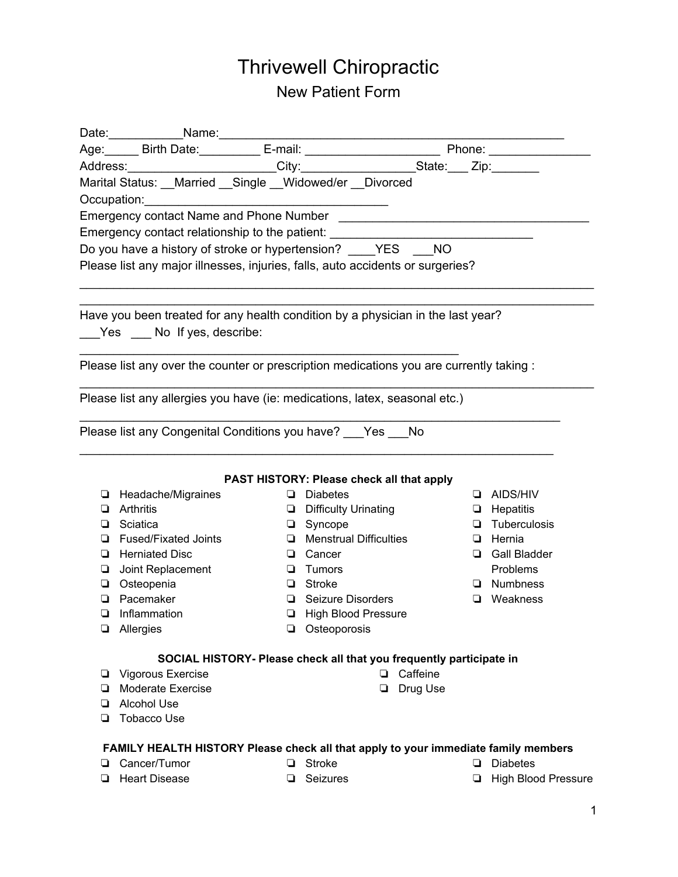# Thrivewell Chiropractic New Patient Form

|             | Age: Birth Date: E-mail: _____________ E-mail: _________________________________ Phone: ____________ |   |                                                                     |          |                            |
|-------------|------------------------------------------------------------------------------------------------------|---|---------------------------------------------------------------------|----------|----------------------------|
|             | Address: ________________________City:_____________________State:____ Zip:________                   |   |                                                                     |          |                            |
|             | Marital Status: __Married __Single __Widowed/er __Divorced                                           |   |                                                                     |          |                            |
| Occupation: | <u> 1980 - Johann Barn, mars ann an t-Amhraid ann an t-A</u>                                         |   |                                                                     |          |                            |
|             |                                                                                                      |   |                                                                     |          |                            |
|             | Emergency contact relationship to the patient: _________________________________                     |   |                                                                     |          |                            |
|             | Do you have a history of stroke or hypertension? ____YES ___NO                                       |   |                                                                     |          |                            |
|             | Please list any major illnesses, injuries, falls, auto accidents or surgeries?                       |   |                                                                     |          |                            |
|             | Have you been treated for any health condition by a physician in the last year?                      |   |                                                                     |          |                            |
|             | Yes No If yes, describe:                                                                             |   |                                                                     |          |                            |
|             |                                                                                                      |   |                                                                     |          |                            |
|             | Please list any over the counter or prescription medications you are currently taking :              |   |                                                                     |          |                            |
|             |                                                                                                      |   |                                                                     |          |                            |
|             | Please list any allergies you have (ie: medications, latex, seasonal etc.)                           |   |                                                                     |          |                            |
|             | Please list any Congenital Conditions you have? ___ Yes ___ No                                       |   |                                                                     |          |                            |
|             |                                                                                                      |   |                                                                     |          |                            |
|             |                                                                                                      |   |                                                                     |          |                            |
|             |                                                                                                      |   | PAST HISTORY: Please check all that apply                           |          |                            |
|             | Headache/Migraines                                                                                   |   | $\Box$ Diabetes                                                     |          | $\Box$ AIDS/HIV            |
|             | Arthritis                                                                                            |   | Difficulty Urinating                                                |          | $\Box$ Hepatitis           |
| ▫           | Sciatica                                                                                             |   | $\Box$ Syncope                                                      |          | $\Box$ Tuberculosis        |
| $\Box$      | <b>Fused/Fixated Joints</b>                                                                          |   | $\Box$ Menstrual Difficulties                                       |          | $\Box$ Hernia              |
|             | <b>Herniated Disc</b>                                                                                | ❏ | Cancer                                                              |          | Gall Bladder               |
| ❏           | Joint Replacement                                                                                    | ❏ | Tumors                                                              |          | Problems                   |
|             | □ Osteopenia                                                                                         | ▫ | <b>Stroke</b>                                                       |          | $\Box$ Numbness            |
| $\Box$      | Pacemaker                                                                                            | ❏ | Seizure Disorders                                                   |          | <b>u</b> Weakness          |
| $\Box$      | Inflammation                                                                                         |   | <b>El</b> High Blood Pressure                                       |          |                            |
| ❏           | Allergies                                                                                            |   | Osteoporosis                                                        |          |                            |
|             |                                                                                                      |   | SOCIAL HISTORY- Please check all that you frequently participate in |          |                            |
| ⊔           | Vigorous Exercise                                                                                    |   | $\Box$                                                              | Caffeine |                            |
| ❏           | <b>Moderate Exercise</b>                                                                             |   | ❏                                                                   | Drug Use |                            |
| ▫           | <b>Alcohol Use</b>                                                                                   |   |                                                                     |          |                            |
| ◘           | <b>Tobacco Use</b>                                                                                   |   |                                                                     |          |                            |
|             | FAMILY HEALTH HISTORY Please check all that apply to your immediate family members                   |   |                                                                     |          |                            |
| ❏           | Cancer/Tumor                                                                                         | ▫ | <b>Stroke</b>                                                       | ❏        | <b>Diabetes</b>            |
| ❏           | <b>Heart Disease</b>                                                                                 | ❏ | Seizures                                                            | ❏        | <b>High Blood Pressure</b> |
|             |                                                                                                      |   |                                                                     |          |                            |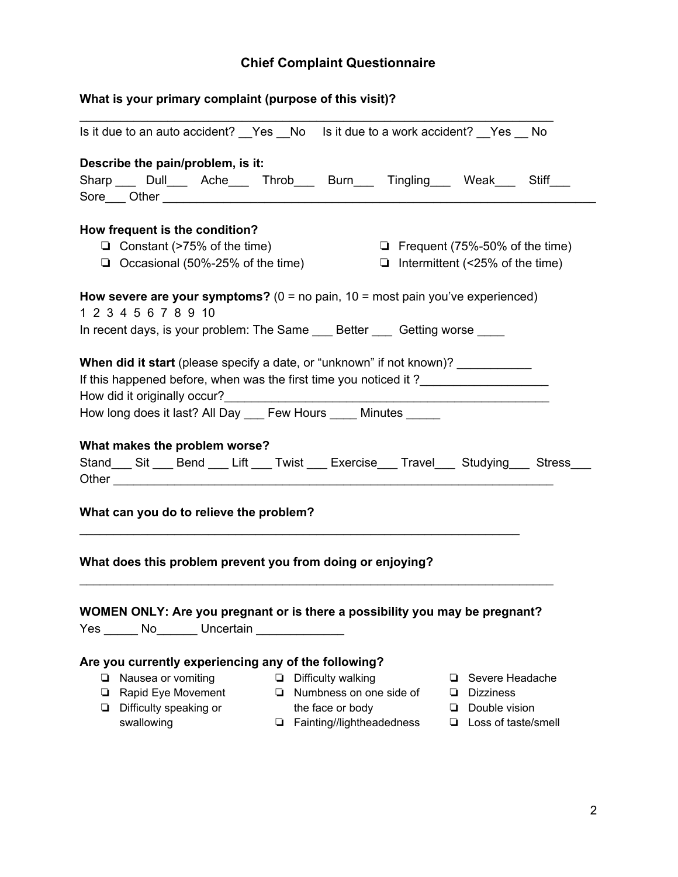# **Chief Complaint Questionnaire**

| What is your primary complaint (purpose of this visit)? |                                                                                     |  |  |                           |  |                                        |  |                            |                                                                                                   |
|---------------------------------------------------------|-------------------------------------------------------------------------------------|--|--|---------------------------|--|----------------------------------------|--|----------------------------|---------------------------------------------------------------------------------------------------|
|                                                         | Is it due to an auto accident? __Yes __No is it due to a work accident? __Yes __No  |  |  |                           |  |                                        |  |                            |                                                                                                   |
|                                                         | Describe the pain/problem, is it:                                                   |  |  |                           |  |                                        |  |                            |                                                                                                   |
|                                                         | Sharp Dull Ache Throb Burn Tingling Weak Stiff                                      |  |  |                           |  |                                        |  |                            |                                                                                                   |
|                                                         |                                                                                     |  |  |                           |  |                                        |  |                            |                                                                                                   |
|                                                         |                                                                                     |  |  |                           |  |                                        |  |                            |                                                                                                   |
|                                                         | How frequent is the condition?                                                      |  |  |                           |  |                                        |  |                            |                                                                                                   |
|                                                         | $\Box$ Constant (>75% of the time)                                                  |  |  |                           |  |                                        |  |                            | $\Box$ Frequent (75%-50% of the time)                                                             |
|                                                         | $\Box$ Occasional (50%-25% of the time)                                             |  |  |                           |  | $\Box$ Intermittent (<25% of the time) |  |                            |                                                                                                   |
|                                                         |                                                                                     |  |  |                           |  |                                        |  |                            |                                                                                                   |
|                                                         | How severe are your symptoms? ( $0 = no$ pain, $10 = most$ pain you've experienced) |  |  |                           |  |                                        |  |                            |                                                                                                   |
|                                                         | 1 2 3 4 5 6 7 8 9 10                                                                |  |  |                           |  |                                        |  |                            |                                                                                                   |
|                                                         | In recent days, is your problem: The Same _____ Better _____ Getting worse          |  |  |                           |  |                                        |  |                            |                                                                                                   |
|                                                         |                                                                                     |  |  |                           |  |                                        |  |                            |                                                                                                   |
|                                                         | When did it start (please specify a date, or "unknown" if not known)?               |  |  |                           |  |                                        |  |                            |                                                                                                   |
|                                                         | If this happened before, when was the first time you noticed it?                    |  |  |                           |  |                                        |  |                            |                                                                                                   |
|                                                         |                                                                                     |  |  |                           |  |                                        |  |                            |                                                                                                   |
|                                                         | How long does it last? All Day ___ Few Hours ____ Minutes _____                     |  |  |                           |  |                                        |  |                            |                                                                                                   |
|                                                         |                                                                                     |  |  |                           |  |                                        |  |                            |                                                                                                   |
|                                                         |                                                                                     |  |  |                           |  |                                        |  |                            |                                                                                                   |
|                                                         | What makes the problem worse?                                                       |  |  |                           |  |                                        |  |                            |                                                                                                   |
|                                                         |                                                                                     |  |  |                           |  |                                        |  |                            | Stand____ Sit ____ Bend ____ Lift ____ Twist ____ Exercise____ Travel____ Studying____ Stress____ |
|                                                         |                                                                                     |  |  |                           |  |                                        |  |                            |                                                                                                   |
|                                                         |                                                                                     |  |  |                           |  |                                        |  |                            |                                                                                                   |
|                                                         | What can you do to relieve the problem?                                             |  |  |                           |  |                                        |  |                            |                                                                                                   |
|                                                         |                                                                                     |  |  |                           |  |                                        |  |                            |                                                                                                   |
|                                                         |                                                                                     |  |  |                           |  |                                        |  |                            |                                                                                                   |
|                                                         | What does this problem prevent you from doing or enjoying?                          |  |  |                           |  |                                        |  |                            |                                                                                                   |
|                                                         |                                                                                     |  |  |                           |  |                                        |  |                            |                                                                                                   |
|                                                         |                                                                                     |  |  |                           |  |                                        |  |                            |                                                                                                   |
|                                                         | WOMEN ONLY: Are you pregnant or is there a possibility you may be pregnant?         |  |  |                           |  |                                        |  |                            |                                                                                                   |
|                                                         | Yes No Uncertain                                                                    |  |  |                           |  |                                        |  |                            |                                                                                                   |
|                                                         |                                                                                     |  |  |                           |  |                                        |  |                            |                                                                                                   |
|                                                         | Are you currently experiencing any of the following?                                |  |  |                           |  |                                        |  |                            |                                                                                                   |
|                                                         | $\Box$ Nausea or vomiting                                                           |  |  | $\Box$ Difficulty walking |  |                                        |  | □ Severe Headache          |                                                                                                   |
|                                                         | $\Box$ Rapid Eye Movement                                                           |  |  |                           |  | $\Box$ Numbness on one side of         |  | $\Box$ Dizziness           |                                                                                                   |
|                                                         | $\Box$ Difficulty speaking or                                                       |  |  | the face or body          |  |                                        |  | $\Box$ Double vision       |                                                                                                   |
|                                                         | swallowing                                                                          |  |  |                           |  | $\Box$ Fainting//lightheadedness       |  | $\Box$ Loss of taste/smell |                                                                                                   |
|                                                         |                                                                                     |  |  |                           |  |                                        |  |                            |                                                                                                   |
|                                                         |                                                                                     |  |  |                           |  |                                        |  |                            |                                                                                                   |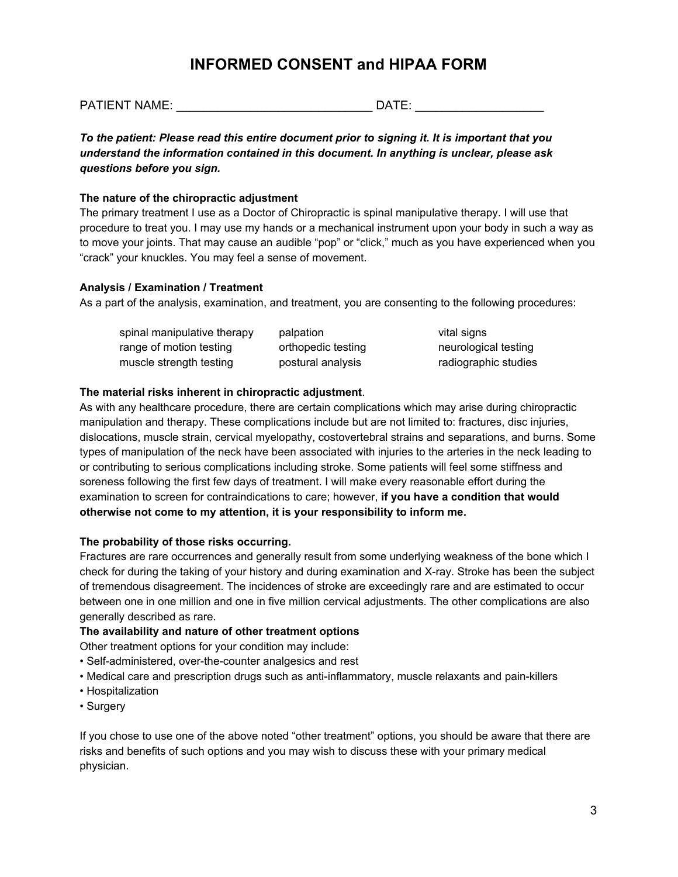# **INFORMED CONSENT and HIPAA FORM**

PATIENT NAME: \_\_\_\_\_\_\_\_\_\_\_\_\_\_\_\_\_\_\_\_\_\_\_\_\_\_\_\_\_ DATE: \_\_\_\_\_\_\_\_\_\_\_\_\_\_\_\_\_\_\_

*To the patient: Please read this entire document prior to signing it. It is important that you understand the information contained in this document. In anything is unclear, please ask questions before you sign.*

### **The nature of the chiropractic adjustment**

The primary treatment I use as a Doctor of Chiropractic is spinal manipulative therapy. I will use that procedure to treat you. I may use my hands or a mechanical instrument upon your body in such a way as to move your joints. That may cause an audible "pop" or "click," much as you have experienced when you "crack" your knuckles. You may feel a sense of movement.

## **Analysis / Examination / Treatment**

As a part of the analysis, examination, and treatment, you are consenting to the following procedures:

| spinal manipulative therapy | palpation          | vital signs          |
|-----------------------------|--------------------|----------------------|
| range of motion testing     | orthopedic testing | neurological testing |
| muscle strength testing     | postural analysis  | radiographic studies |

# **The material risks inherent in chiropractic adjustment**.

As with any healthcare procedure, there are certain complications which may arise during chiropractic manipulation and therapy. These complications include but are not limited to: fractures, disc injuries, dislocations, muscle strain, cervical myelopathy, costovertebral strains and separations, and burns. Some types of manipulation of the neck have been associated with injuries to the arteries in the neck leading to or contributing to serious complications including stroke. Some patients will feel some stiffness and soreness following the first few days of treatment. I will make every reasonable effort during the examination to screen for contraindications to care; however, **if you have a condition that would otherwise not come to my attention, it is your responsibility to inform me.**

# **The probability of those risks occurring.**

Fractures are rare occurrences and generally result from some underlying weakness of the bone which I check for during the taking of your history and during examination and X-ray. Stroke has been the subject of tremendous disagreement. The incidences of stroke are exceedingly rare and are estimated to occur between one in one million and one in five million cervical adjustments. The other complications are also generally described as rare.

### **The availability and nature of other treatment options**

Other treatment options for your condition may include:

- Self-administered, over-the-counter analgesics and rest
- Medical care and prescription drugs such as anti-inflammatory, muscle relaxants and pain-killers
- Hospitalization
- Surgery

If you chose to use one of the above noted "other treatment" options, you should be aware that there are risks and benefits of such options and you may wish to discuss these with your primary medical physician.